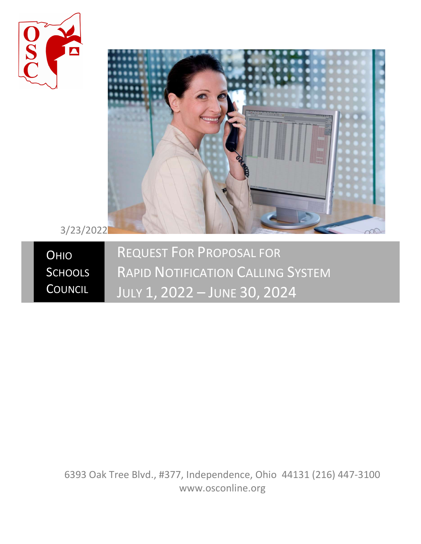



3/23/2022

**OHIO SCHOOLS COUNCIL** REQUEST FOR PROPOSAL FOR RAPID NOTIFICATION CALLING SYSTEM JULY 1, 2022 – JUNE 30, 2024

6393 Oak Tree Blvd., #377, Independence, Ohio 44131 (216) 447-3100 www.osconline.org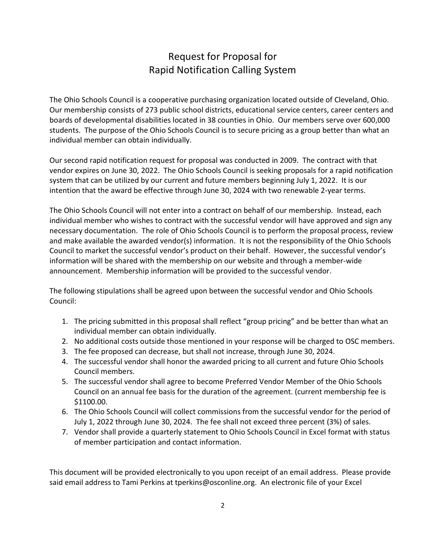## Request for Proposal for Rapid Notification Calling System

The Ohio Schools Council is a cooperative purchasing organization located outside of Cleveland, Ohio. Our membership consists of 273 public school districts, educational service centers, career centers and boards of developmental disabilities located in 38 counties in Ohio. Our members serve over 600,000 students. The purpose of the Ohio Schools Council is to secure pricing as a group better than what an individual member can obtain individually.

Our second rapid notification request for proposal was conducted in 2009. The contract with that vendor expires on June 30, 2022. The Ohio Schools Council is seeking proposals for a rapid notification system that can be utilized by our current and future members beginning July 1, 2022. It is our intention that the award be effective through June 30, 2024 with two renewable 2-year terms.

The Ohio Schools Council will not enter into a contract on behalf of our membership. Instead, each individual member who wishes to contract with the successful vendor will have approved and sign any necessary documentation. The role of Ohio Schools Council is to perform the proposal process, review and make available the awarded vendor(s) information. It is not the responsibility of the Ohio Schools Council to market the successful vendor's product on their behalf. However, the successful vendor's information will be shared with the membership on our website and through a member-wide announcement. Membership information will be provided to the successful vendor.

The following stipulations shall be agreed upon between the successful vendor and Ohio Schools Council:

- 1. The pricing submitted in this proposal shall reflect "group pricing" and be better than what an individual member can obtain individually.
- 2. No additional costs outside those mentioned in your response will be charged to OSC members.
- 3. The fee proposed can decrease, but shall not increase, through June 30, 2024.
- 4. The successful vendor shall honor the awarded pricing to all current and future Ohio Schools Council members.
- 5. The successful vendor shall agree to become Preferred Vendor Member of the Ohio Schools Council on an annual fee basis for the duration of the agreement. (current membership fee is \$1100.00.
- 6. The Ohio Schools Council will collect commissions from the successful vendor for the period of July 1, 2022 through June 30, 2024. The fee shall not exceed three percent (3%) of sales.
- 7. Vendor shall provide a quarterly statement to Ohio Schools Council in Excel format with status of member participation and contact information.

This document will be provided electronically to you upon receipt of an email address. Please provide said email address to Tami Perkins at tperkins@osconline.org. An electronic file of your Excel